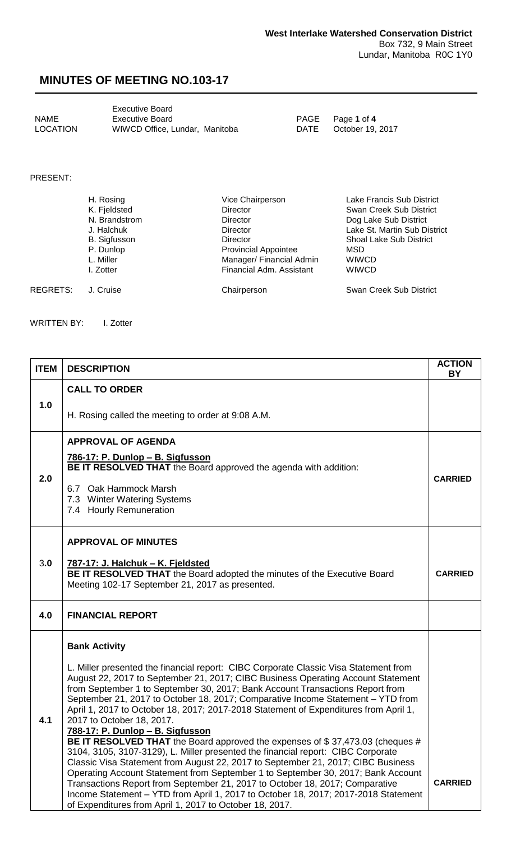## **MINUTES OF MEETING NO.103-17**

<span id="page-0-0"></span>

|                 | <b>Executive Board</b>         |
|-----------------|--------------------------------|
| <b>NAME</b>     | Executive Board                |
| <b>LOCATION</b> | WIWCD Office, Lundar, Manitoba |

PAGE Page **1** of **4**<br>DATE October 19, October 19, 2017

PRESENT:

|          | H. Rosing           | Vice Chairperson            | Lake Francis Sub District      |
|----------|---------------------|-----------------------------|--------------------------------|
|          | K. Fjeldsted        | <b>Director</b>             | Swan Creek Sub District        |
|          | N. Brandstrom       | <b>Director</b>             | Dog Lake Sub District          |
|          | J. Halchuk          | <b>Director</b>             | Lake St. Martin Sub District   |
|          | <b>B.</b> Sigfusson | <b>Director</b>             | <b>Shoal Lake Sub District</b> |
|          | P. Dunlop           | <b>Provincial Appointee</b> | <b>MSD</b>                     |
|          | L. Miller           | Manager/ Financial Admin    | <b>WIWCD</b>                   |
|          | I. Zotter           | Financial Adm. Assistant    | <b>WIWCD</b>                   |
| REGRETS: | J. Cruise           | Chairperson                 | Swan Creek Sub District        |

WRITTEN BY: I. Zotter

| <b>ITEM</b> | <b>DESCRIPTION</b>                                                                                                                                                                                                                                                                                                                                                                                                                                                                                                                                                                                                            | <b>ACTION</b><br><b>BY</b> |
|-------------|-------------------------------------------------------------------------------------------------------------------------------------------------------------------------------------------------------------------------------------------------------------------------------------------------------------------------------------------------------------------------------------------------------------------------------------------------------------------------------------------------------------------------------------------------------------------------------------------------------------------------------|----------------------------|
| 1.0         | <b>CALL TO ORDER</b>                                                                                                                                                                                                                                                                                                                                                                                                                                                                                                                                                                                                          |                            |
|             | H. Rosing called the meeting to order at 9:08 A.M.                                                                                                                                                                                                                                                                                                                                                                                                                                                                                                                                                                            |                            |
| 2.0         | <b>APPROVAL OF AGENDA</b>                                                                                                                                                                                                                                                                                                                                                                                                                                                                                                                                                                                                     |                            |
|             | 786-17: P. Dunlop - B. Sigfusson<br>BE IT RESOLVED THAT the Board approved the agenda with addition:                                                                                                                                                                                                                                                                                                                                                                                                                                                                                                                          | <b>CARRIED</b>             |
|             | 6.7 Oak Hammock Marsh<br>7.3 Winter Watering Systems<br>7.4 Hourly Remuneration                                                                                                                                                                                                                                                                                                                                                                                                                                                                                                                                               |                            |
|             | <b>APPROVAL OF MINUTES</b>                                                                                                                                                                                                                                                                                                                                                                                                                                                                                                                                                                                                    |                            |
| 3.0         | 787-17: J. Halchuk - K. Fjeldsted<br>BE IT RESOLVED THAT the Board adopted the minutes of the Executive Board<br>Meeting 102-17 September 21, 2017 as presented.                                                                                                                                                                                                                                                                                                                                                                                                                                                              | <b>CARRIED</b>             |
| 4.0         | <b>FINANCIAL REPORT</b>                                                                                                                                                                                                                                                                                                                                                                                                                                                                                                                                                                                                       |                            |
|             | <b>Bank Activity</b>                                                                                                                                                                                                                                                                                                                                                                                                                                                                                                                                                                                                          |                            |
| 4.1         | L. Miller presented the financial report: CIBC Corporate Classic Visa Statement from<br>August 22, 2017 to September 21, 2017; CIBC Business Operating Account Statement<br>from September 1 to September 30, 2017; Bank Account Transactions Report from<br>September 21, 2017 to October 18, 2017; Comparative Income Statement - YTD from<br>April 1, 2017 to October 18, 2017; 2017-2018 Statement of Expenditures from April 1,<br>2017 to October 18, 2017.                                                                                                                                                             |                            |
|             | 788-1 <u>7: P. Dunlop – B. Sigfusson</u><br><b>BE IT RESOLVED THAT</b> the Board approved the expenses of \$37,473.03 (cheques #<br>3104, 3105, 3107-3129), L. Miller presented the financial report: CIBC Corporate<br>Classic Visa Statement from August 22, 2017 to September 21, 2017; CIBC Business<br>Operating Account Statement from September 1 to September 30, 2017; Bank Account<br>Transactions Report from September 21, 2017 to October 18, 2017; Comparative<br>Income Statement - YTD from April 1, 2017 to October 18, 2017; 2017-2018 Statement<br>of Expenditures from April 1, 2017 to October 18, 2017. | <b>CARRIED</b>             |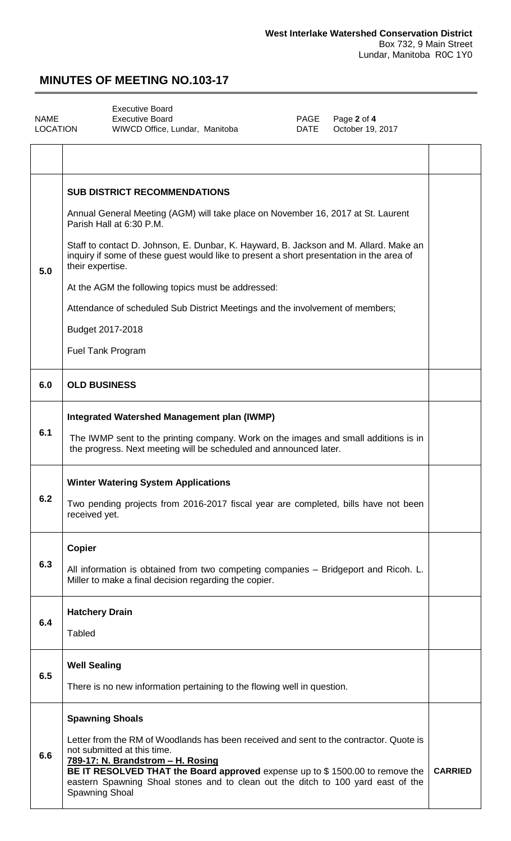٦

## **MINUTES OF MEETING NO.103-17**

<span id="page-1-0"></span>

|          | <b>Executive Board</b>        |  |
|----------|-------------------------------|--|
| NAME     | Executive Board               |  |
| LOCATION | WIWCD Office, Lundar, Manitob |  |

 $\Gamma$ 

PAGE Page 2 of 4<br>DATE October 19, va DATE October 19, 2017

|     | <b>SUB DISTRICT RECOMMENDATIONS</b>                                                                                                                                                                                                                                                                                                              |                |
|-----|--------------------------------------------------------------------------------------------------------------------------------------------------------------------------------------------------------------------------------------------------------------------------------------------------------------------------------------------------|----------------|
| 5.0 | Annual General Meeting (AGM) will take place on November 16, 2017 at St. Laurent<br>Parish Hall at 6:30 P.M.                                                                                                                                                                                                                                     |                |
|     | Staff to contact D. Johnson, E. Dunbar, K. Hayward, B. Jackson and M. Allard. Make an<br>inquiry if some of these guest would like to present a short presentation in the area of<br>their expertise.                                                                                                                                            |                |
|     | At the AGM the following topics must be addressed:                                                                                                                                                                                                                                                                                               |                |
|     | Attendance of scheduled Sub District Meetings and the involvement of members;                                                                                                                                                                                                                                                                    |                |
|     | Budget 2017-2018                                                                                                                                                                                                                                                                                                                                 |                |
|     | <b>Fuel Tank Program</b>                                                                                                                                                                                                                                                                                                                         |                |
| 6.0 | <b>OLD BUSINESS</b>                                                                                                                                                                                                                                                                                                                              |                |
|     | Integrated Watershed Management plan (IWMP)                                                                                                                                                                                                                                                                                                      |                |
| 6.1 | The IWMP sent to the printing company. Work on the images and small additions is in<br>the progress. Next meeting will be scheduled and announced later.                                                                                                                                                                                         |                |
|     | <b>Winter Watering System Applications</b>                                                                                                                                                                                                                                                                                                       |                |
| 6.2 | Two pending projects from 2016-2017 fiscal year are completed, bills have not been<br>received yet.                                                                                                                                                                                                                                              |                |
|     | <b>Copier</b>                                                                                                                                                                                                                                                                                                                                    |                |
| 6.3 | All information is obtained from two competing companies - Bridgeport and Ricoh. L.<br>Miller to make a final decision regarding the copier.                                                                                                                                                                                                     |                |
| 6.4 | <b>Hatchery Drain</b>                                                                                                                                                                                                                                                                                                                            |                |
|     | <b>Tabled</b>                                                                                                                                                                                                                                                                                                                                    |                |
| 6.5 | <b>Well Sealing</b>                                                                                                                                                                                                                                                                                                                              |                |
|     | There is no new information pertaining to the flowing well in question.                                                                                                                                                                                                                                                                          |                |
|     | <b>Spawning Shoals</b>                                                                                                                                                                                                                                                                                                                           |                |
| 6.6 | Letter from the RM of Woodlands has been received and sent to the contractor. Quote is<br>not submitted at this time.<br>789-17: N. Brandstrom - H. Rosing<br>BE IT RESOLVED THAT the Board approved expense up to \$1500.00 to remove the<br>eastern Spawning Shoal stones and to clean out the ditch to 100 yard east of the<br>Spawning Shoal | <b>CARRIED</b> |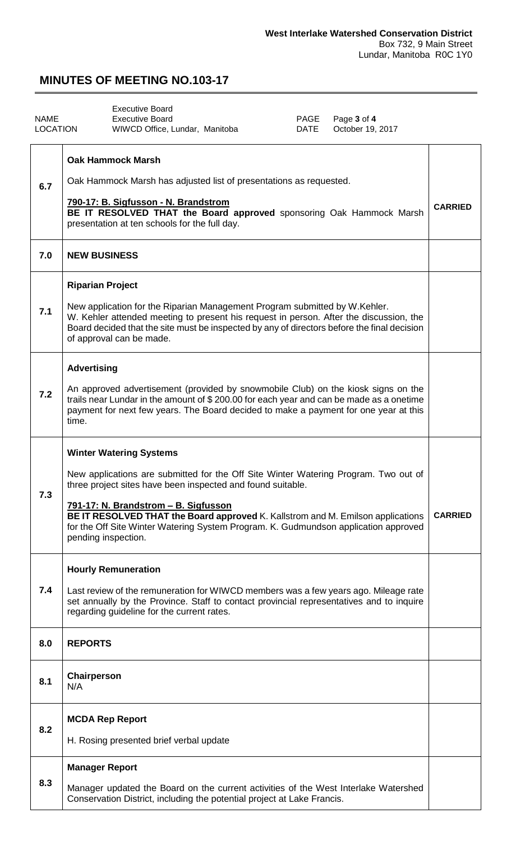## **MINUTES OF MEETING NO.103-17**

<span id="page-2-0"></span>

|                 | <b>Executive Board</b>                                                                                                                                                                                                                                                                                                                                                                                                        |                |
|-----------------|-------------------------------------------------------------------------------------------------------------------------------------------------------------------------------------------------------------------------------------------------------------------------------------------------------------------------------------------------------------------------------------------------------------------------------|----------------|
| <b>NAME</b>     | Page 3 of 4<br><b>Executive Board</b><br>PAGE                                                                                                                                                                                                                                                                                                                                                                                 |                |
| <b>LOCATION</b> | October 19, 2017<br>WIWCD Office, Lundar, Manitoba<br>DATE                                                                                                                                                                                                                                                                                                                                                                    |                |
| 6.7             | <b>Oak Hammock Marsh</b><br>Oak Hammock Marsh has adjusted list of presentations as requested.<br>790-17: B. Sigfusson - N. Brandstrom<br>BE IT RESOLVED THAT the Board approved sponsoring Oak Hammock Marsh<br>presentation at ten schools for the full day.                                                                                                                                                                | <b>CARRIED</b> |
| 7.0             | <b>NEW BUSINESS</b>                                                                                                                                                                                                                                                                                                                                                                                                           |                |
| 7.1             | <b>Riparian Project</b><br>New application for the Riparian Management Program submitted by W.Kehler.<br>W. Kehler attended meeting to present his request in person. After the discussion, the<br>Board decided that the site must be inspected by any of directors before the final decision<br>of approval can be made.                                                                                                    |                |
| 7.2             | <b>Advertising</b><br>An approved advertisement (provided by snowmobile Club) on the kiosk signs on the<br>trails near Lundar in the amount of \$200.00 for each year and can be made as a onetime<br>payment for next few years. The Board decided to make a payment for one year at this<br>time.                                                                                                                           |                |
| 7.3             | <b>Winter Watering Systems</b><br>New applications are submitted for the Off Site Winter Watering Program. Two out of<br>three project sites have been inspected and found suitable.<br>791-17: N. Brandstrom - B. Sigfusson<br>BE IT RESOLVED THAT the Board approved K. Kallstrom and M. Emilson applications<br>for the Off Site Winter Watering System Program. K. Gudmundson application approved<br>pending inspection. | <b>CARRIED</b> |
| 7.4             | <b>Hourly Remuneration</b><br>Last review of the remuneration for WIWCD members was a few years ago. Mileage rate<br>set annually by the Province. Staff to contact provincial representatives and to inquire<br>regarding guideline for the current rates.                                                                                                                                                                   |                |
| 8.0             | <b>REPORTS</b>                                                                                                                                                                                                                                                                                                                                                                                                                |                |
| 8.1             | Chairperson<br>N/A                                                                                                                                                                                                                                                                                                                                                                                                            |                |
| 8.2             | <b>MCDA Rep Report</b><br>H. Rosing presented brief verbal update                                                                                                                                                                                                                                                                                                                                                             |                |
| 8.3             | <b>Manager Report</b><br>Manager updated the Board on the current activities of the West Interlake Watershed<br>Conservation District, including the potential project at Lake Francis.                                                                                                                                                                                                                                       |                |